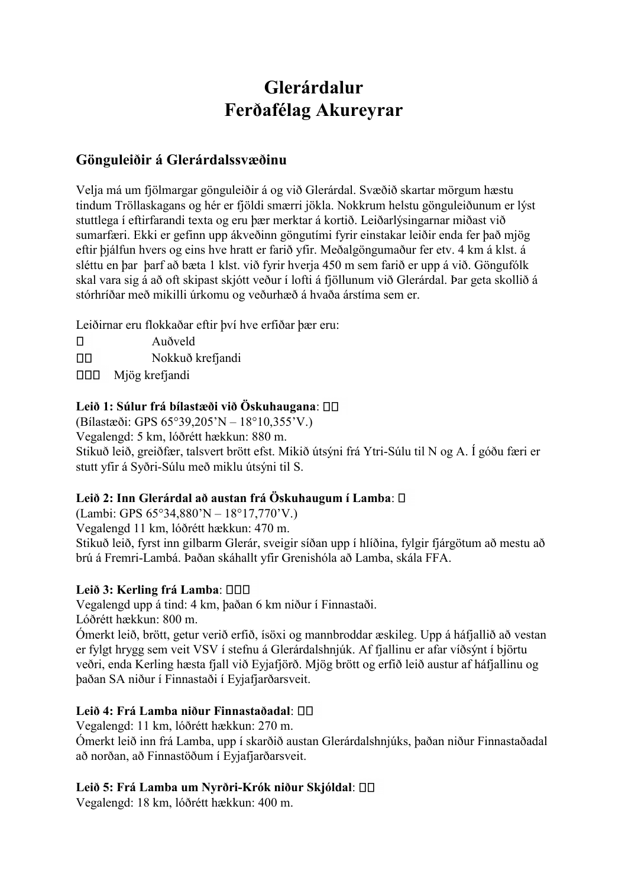# **Glerárdalur Ferðafélag Akureyrar**

## **Gönguleiðir á Glerárdalssvæðinu**

Velja má um fjölmargar gönguleiðir á og við Glerárdal. Svæðið skartar mörgum hæstu tindum Tröllaskagans og hér er fjöldi smærri jökla. Nokkrum helstu gönguleiðunum er lýst stuttlega í eftirfarandi texta og eru þær merktar á kortið. Leiðarlýsingarnar miðast við sumarfæri. Ekki er gefinn upp ákveðinn göngutími fyrir einstakar leiðir enda fer það mjög eftir þjálfun hvers og eins hve hratt er farið yfir. Meðalgöngumaður fer etv. 4 km á klst. á sléttu en þar þarf að bæta 1 klst. við fyrir hverja 450 m sem farið er upp á við. Göngufólk skal vara sig á að oft skipast skjótt veður í lofti á fjöllunum við Glerárdal. Þar geta skollið á stórhríðar með mikilli úrkomu og veðurhæð á hvaða árstíma sem er.

Leiðirnar eru flokkaðar eftir því hve erfiðar þær eru:

 $\Box$ Auðveld  $\Box$ Nokkuð krefjandi  $\Box$ Mjög krefjandi

## **Leið 1: Súlur frá bílastæði við Öskuhaugana**:

(Bílastæði: GPS 65°39,205'N – 18°10,355'V.)

Vegalengd: 5 km, lóðrétt hækkun: 880 m.

Stikuð leið, greiðfær, talsvert brött efst. Mikið útsýni frá Ytri-Súlu til N og A. Í góðu færi er stutt yfir á Syðri-Súlu með miklu útsýni til S.

## **Leið 2: Inn Glerárdal að austan frá Öskuhaugum í Lamba**:

(Lambi: GPS 65°34,880'N – 18°17,770'V.)

Vegalengd 11 km, lóðrétt hækkun: 470 m.

Stikuð leið, fyrst inn gilbarm Glerár, sveigir síðan upp í hlíðina, fylgir fjárgötum að mestu að brú á Fremri-Lambá. Þaðan skáhallt yfir Grenishóla að Lamba, skála FFA.

#### **Leið 3: Kerling frá Lamba**:

Vegalengd upp á tind: 4 km, þaðan 6 km niður í Finnastaði. Lóðrétt hækkun: 800 m.

Ómerkt leið, brött, getur verið erfið, ísöxi og mannbroddar æskileg. Upp á háfjallið að vestan er fylgt hrygg sem veit VSV í stefnu á Glerárdalshnjúk. Af fjallinu er afar víðsýnt í björtu veðri, enda Kerling hæsta fjall við Eyjafjörð. Mjög brött og erfið leið austur af háfjallinu og þaðan SA niður í Finnastaði í Eyjafjarðarsveit.

## **Leið 4: Frá Lamba niður Finnastaðadal**:

Vegalengd: 11 km, lóðrétt hækkun: 270 m. Ómerkt leið inn frá Lamba, upp í skarðið austan Glerárdalshnjúks, þaðan niður Finnastaðadal að norðan, að Finnastöðum í Eyjafjarðarsveit.

## **Leið 5: Frá Lamba um Nyrðri-Krók niður Skjóldal**:

Vegalengd: 18 km, lóðrétt hækkun: 400 m.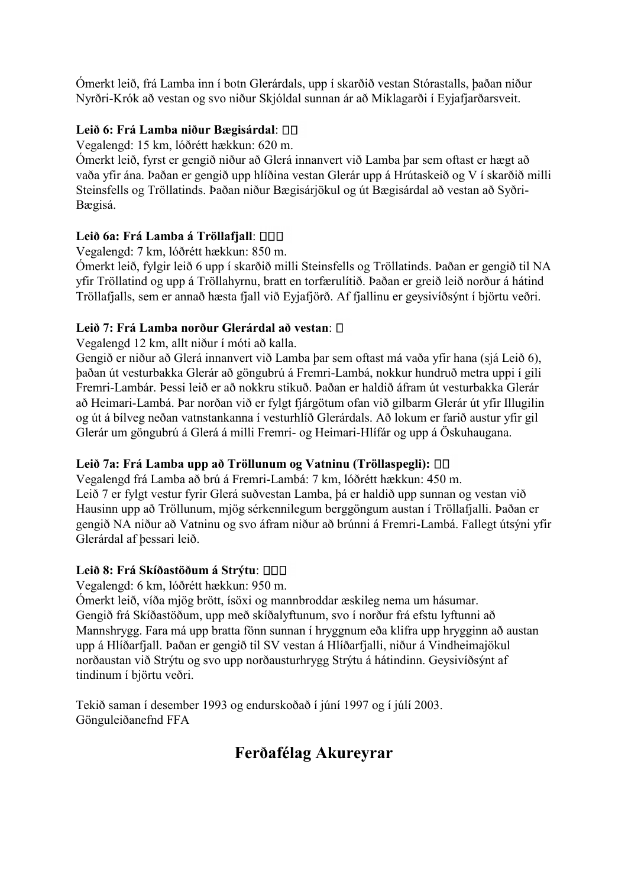Ómerkt leið, frá Lamba inn í botn Glerárdals, upp í skarðið vestan Stórastalls, þaðan niður Nyrðri-Krók að vestan og svo niður Skjóldal sunnan ár að Miklagarði í Eyjafjarðarsveit.

## **Leið 6: Frá Lamba niður Bægisárdal**:

Vegalengd: 15 km, lóðrétt hækkun: 620 m.

Ómerkt leið, fyrst er gengið niður að Glerá innanvert við Lamba þar sem oftast er hægt að vaða yfir ána. Þaðan er gengið upp hlíðina vestan Glerár upp á Hrútaskeið og V í skarðið milli Steinsfells og Tröllatinds. Þaðan niður Bægisárjökul og út Bægisárdal að vestan að Syðri-Bægisá.

## **Leið 6a: Frá Lamba á Tröllafjall**:

Vegalengd: 7 km, lóðrétt hækkun: 850 m.

Ómerkt leið, fylgir leið 6 upp í skarðið milli Steinsfells og Tröllatinds. Þaðan er gengið til NA yfir Tröllatind og upp á Tröllahyrnu, bratt en torfærulítið. Þaðan er greið leið norður á hátind Tröllafjalls, sem er annað hæsta fjall við Eyjafjörð. Af fjallinu er geysivíðsýnt í björtu veðri.

## **Leið 7: Frá Lamba norður Glerárdal að vestan**:

Vegalengd 12 km, allt niður í móti að kalla.

Gengið er niður að Glerá innanvert við Lamba þar sem oftast má vaða yfir hana (sjá Leið 6), þaðan út vesturbakka Glerár að göngubrú á Fremri-Lambá, nokkur hundruð metra uppi í gili Fremri-Lambár. Þessi leið er að nokkru stikuð. Þaðan er haldið áfram út vesturbakka Glerár að Heimari-Lambá. Þar norðan við er fylgt fjárgötum ofan við gilbarm Glerár út yfir Illugilin og út á bílveg neðan vatnstankanna í vesturhlíð Glerárdals. Að lokum er farið austur yfir gil Glerár um göngubrú á Glerá á milli Fremri- og Heimari-Hlífár og upp á Öskuhaugana.

## **Leið 7a: Frá Lamba upp að Tröllunum og Vatninu (Tröllaspegli):**

Vegalengd frá Lamba að brú á Fremri-Lambá: 7 km, lóðrétt hækkun: 450 m. Leið 7 er fylgt vestur fyrir Glerá suðvestan Lamba, þá er haldið upp sunnan og vestan við Hausinn upp að Tröllunum, mjög sérkennilegum berggöngum austan í Tröllafjalli. Þaðan er gengið NA niður að Vatninu og svo áfram niður að brúnni á Fremri-Lambá. Fallegt útsýni yfir Glerárdal af þessari leið.

## **Leið 8: Frá Skíðastöðum á Strýtu**:

Vegalengd: 6 km, lóðrétt hækkun: 950 m.

Ómerkt leið, víða mjög brött, ísöxi og mannbroddar æskileg nema um hásumar. Gengið frá Skíðastöðum, upp með skíðalyftunum, svo í norður frá efstu lyftunni að Mannshrygg. Fara má upp bratta fönn sunnan í hryggnum eða klifra upp hrygginn að austan upp á Hlíðarfjall. Þaðan er gengið til SV vestan á Hlíðarfjalli, niður á Vindheimajökul norðaustan við Strýtu og svo upp norðausturhrygg Strýtu á hátindinn. Geysivíðsýnt af tindinum í björtu veðri.

Tekið saman í desember 1993 og endurskoðað í júní 1997 og í júlí 2003. Gönguleiðanefnd FFA

## **Ferðafélag Akureyrar**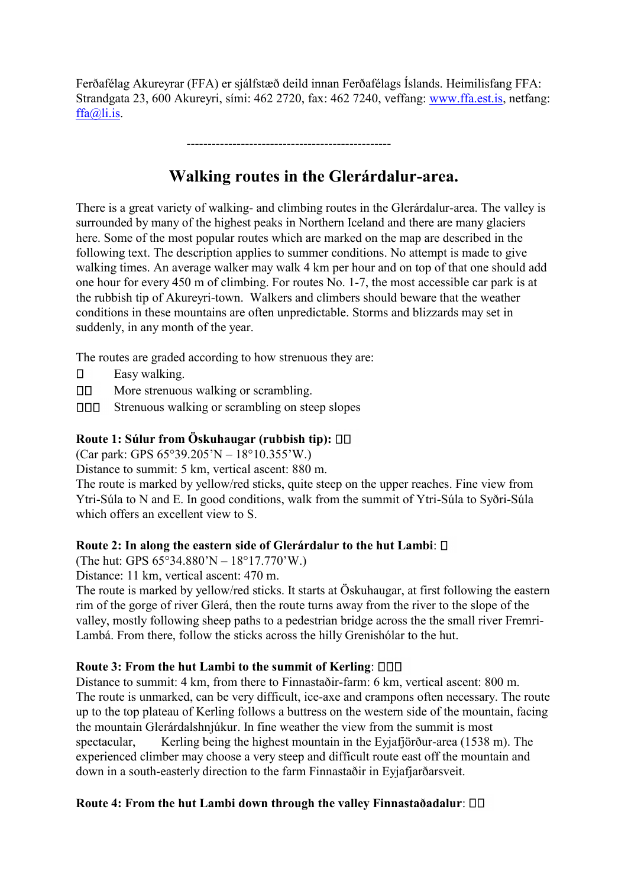Ferðafélag Akureyrar (FFA) er sjálfstæð deild innan Ferðafélags Íslands. Heimilisfang FFA: Strandgata 23, 600 Akureyri, sími: 462 2720, fax: 462 7240, veffang: [www.ffa.est.is,](http://www.ffa.est.is/) netfang: [ffa@li.is.](mailto:ffa@li.is)

-------------------------------------------------

## **Walking routes in the Glerárdalur-area.**

There is a great variety of walking- and climbing routes in the Glerárdalur-area. The valley is surrounded by many of the highest peaks in Northern Iceland and there are many glaciers here. Some of the most popular routes which are marked on the map are described in the following text. The description applies to summer conditions. No attempt is made to give walking times. An average walker may walk 4 km per hour and on top of that one should add one hour for every 450 m of climbing. For routes No. 1-7, the most accessible car park is at the rubbish tip of Akureyri-town. Walkers and climbers should beware that the weather conditions in these mountains are often unpredictable. Storms and blizzards may set in suddenly, in any month of the year.

The routes are graded according to how strenuous they are:

- $\Box$ Easy walking.
- $\Box$ More strenuous walking or scrambling.
- 000 Strenuous walking or scrambling on steep slopes

#### **Route 1: Súlur from Öskuhaugar (rubbish tip):**

(Car park: GPS 65°39.205'N – 18°10.355'W.)

Distance to summit: 5 km, vertical ascent: 880 m.

The route is marked by yellow/red sticks, quite steep on the upper reaches. Fine view from Ytri-Súla to N and E. In good conditions, walk from the summit of Ytri-Súla to Syðri-Súla which offers an excellent view to S.

#### **Route 2: In along the eastern side of Glerárdalur to the hut Lambi**:

(The hut: GPS 65°34.880'N – 18°17.770'W.)

Distance: 11 km, vertical ascent: 470 m.

The route is marked by yellow/red sticks. It starts at Öskuhaugar, at first following the eastern rim of the gorge of river Glerá, then the route turns away from the river to the slope of the valley, mostly following sheep paths to a pedestrian bridge across the the small river Fremri-Lambá. From there, follow the sticks across the hilly Grenishólar to the hut.

#### **Route 3: From the hut Lambi to the summit of Kerling**:

Distance to summit: 4 km, from there to Finnastaðir-farm: 6 km, vertical ascent: 800 m. The route is unmarked, can be very difficult, ice-axe and crampons often necessary. The route up to the top plateau of Kerling follows a buttress on the western side of the mountain, facing the mountain Glerárdalshnjúkur. In fine weather the view from the summit is most spectacular, Kerling being the highest mountain in the Eyjafjörður-area (1538 m). The experienced climber may choose a very steep and difficult route east off the mountain and down in a south-easterly direction to the farm Finnastaðir in Eyjafjarðarsveit.

#### **Route 4: From the hut Lambi down through the valley Finnastaðadalur**: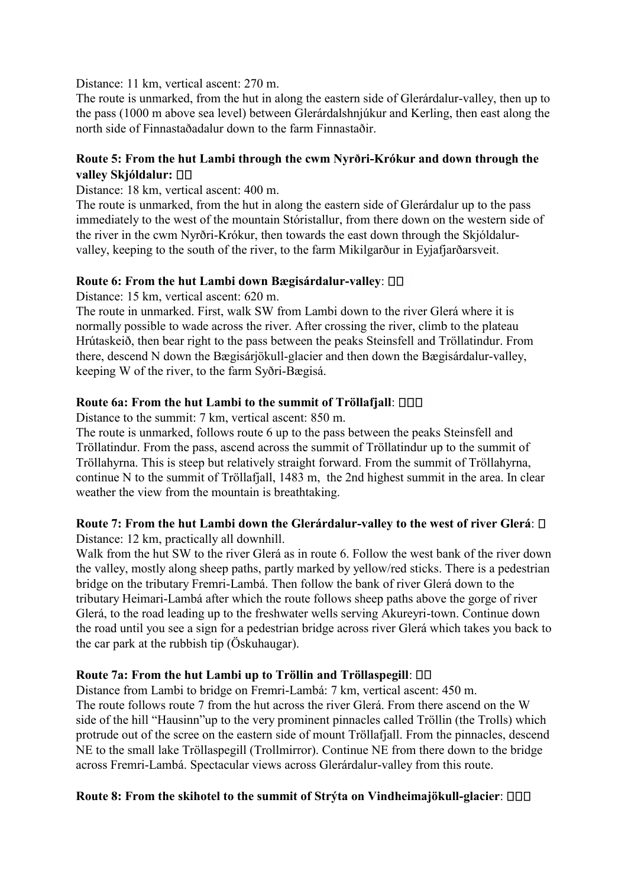Distance: 11 km, vertical ascent: 270 m.

The route is unmarked, from the hut in along the eastern side of Glerárdalur-valley, then up to the pass (1000 m above sea level) between Glerárdalshnjúkur and Kerling, then east along the north side of Finnastaðadalur down to the farm Finnastaðir.

#### **Route 5: From the hut Lambi through the cwm Nyrðri-Krókur and down through the valley Skjóldalur:**

Distance: 18 km, vertical ascent: 400 m.

The route is unmarked, from the hut in along the eastern side of Glerárdalur up to the pass immediately to the west of the mountain Stóristallur, from there down on the western side of the river in the cwm Nyrðri-Krókur, then towards the east down through the Skjóldalurvalley, keeping to the south of the river, to the farm Mikilgarður in Eyjafjarðarsveit.

#### **Route 6: From the hut Lambi down Bægisárdalur-valley**:

Distance: 15 km, vertical ascent: 620 m.

The route in unmarked. First, walk SW from Lambi down to the river Glerá where it is normally possible to wade across the river. After crossing the river, climb to the plateau Hrútaskeið, then bear right to the pass between the peaks Steinsfell and Tröllatindur. From there, descend N down the Bægisárjökull-glacier and then down the Bægisárdalur-valley, keeping W of the river, to the farm Syðri-Bægisá.

#### **Route 6a: From the hut Lambi to the summit of Tröllafjall**:

Distance to the summit: 7 km, vertical ascent: 850 m.

The route is unmarked, follows route 6 up to the pass between the peaks Steinsfell and Tröllatindur. From the pass, ascend across the summit of Tröllatindur up to the summit of Tröllahyrna. This is steep but relatively straight forward. From the summit of Tröllahyrna, continue N to the summit of Tröllafjall, 1483 m, the 2nd highest summit in the area. In clear weather the view from the mountain is breathtaking.

## **Route 7: From the hut Lambi down the Glerárdalur-valley to the west of river Glerá**:

Distance: 12 km, practically all downhill.

Walk from the hut SW to the river Glerá as in route 6. Follow the west bank of the river down the valley, mostly along sheep paths, partly marked by yellow/red sticks. There is a pedestrian bridge on the tributary Fremri-Lambá. Then follow the bank of river Glerá down to the tributary Heimari-Lambá after which the route follows sheep paths above the gorge of river Glerá, to the road leading up to the freshwater wells serving Akureyri-town. Continue down the road until you see a sign for a pedestrian bridge across river Glerá which takes you back to the car park at the rubbish tip (Öskuhaugar).

#### **Route 7a: From the hut Lambi up to Tröllin and Tröllaspegill**:

Distance from Lambi to bridge on Fremri-Lambá: 7 km, vertical ascent: 450 m. The route follows route 7 from the hut across the river Glerá. From there ascend on the W side of the hill "Hausinn"up to the very prominent pinnacles called Tröllin (the Trolls) which protrude out of the scree on the eastern side of mount Tröllafjall. From the pinnacles, descend NE to the small lake Tröllaspegill (Trollmirror). Continue NE from there down to the bridge across Fremri-Lambá. Spectacular views across Glerárdalur-valley from this route.

#### **Route 8: From the skihotel to the summit of Strýta on Vindheimajökull-glacier**: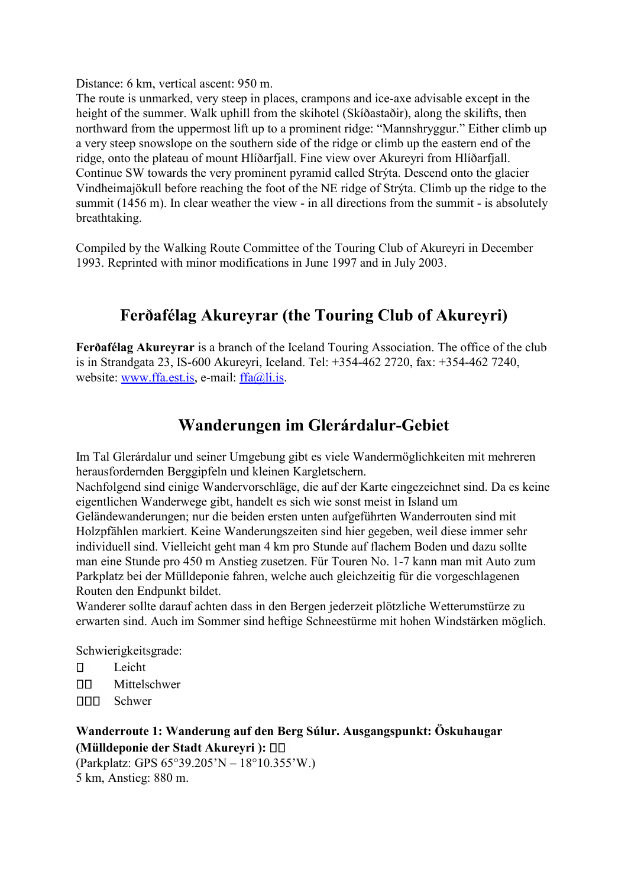Distance: 6 km, vertical ascent: 950 m.

The route is unmarked, very steep in places, crampons and ice-axe advisable except in the height of the summer. Walk uphill from the skihotel (Skíðastaðir), along the skilifts, then northward from the uppermost lift up to a prominent ridge: "Mannshryggur." Either climb up a very steep snowslope on the southern side of the ridge or climb up the eastern end of the ridge, onto the plateau of mount Hlíðarfjall. Fine view over Akureyri from Hlíðarfjall. Continue SW towards the very prominent pyramid called Strýta. Descend onto the glacier Vindheimajökull before reaching the foot of the NE ridge of Strýta. Climb up the ridge to the summit (1456 m). In clear weather the view - in all directions from the summit - is absolutely breathtaking.

Compiled by the Walking Route Committee of the Touring Club of Akureyri in December 1993. Reprinted with minor modifications in June 1997 and in July 2003.

## **Ferðafélag Akureyrar (the Touring Club of Akureyri)**

**Ferðafélag Akureyrar** is a branch of the Iceland Touring Association. The office of the club is in Strandgata 23, IS-600 Akureyri, Iceland. Tel: +354-462 2720, fax: +354-462 7240, website: [www.ffa.est.is,](http://www.ffa.est.is/) e-mail: [ffa@li.is.](mailto:ffa@li.is)

## **Wanderungen im Glerárdalur-Gebiet**

Im Tal Glerárdalur und seiner Umgebung gibt es viele Wandermöglichkeiten mit mehreren herausfordernden Berggipfeln und kleinen Kargletschern.

Nachfolgend sind einige Wandervorschläge, die auf der Karte eingezeichnet sind. Da es keine eigentlichen Wanderwege gibt, handelt es sich wie sonst meist in Island um

Geländewanderungen; nur die beiden ersten unten aufgeführten Wanderrouten sind mit Holzpfählen markiert. Keine Wanderungszeiten sind hier gegeben, weil diese immer sehr individuell sind. Vielleicht geht man 4 km pro Stunde auf flachem Boden und dazu sollte man eine Stunde pro 450 m Anstieg zusetzen. Für Touren No. 1-7 kann man mit Auto zum Parkplatz bei der Mülldeponie fahren, welche auch gleichzeitig für die vorgeschlagenen Routen den Endpunkt bildet.

Wanderer sollte darauf achten dass in den Bergen jederzeit plötzliche Wetterumstürze zu erwarten sind. Auch im Sommer sind heftige Schneestürme mit hohen Windstärken möglich.

Schwierigkeitsgrade:

- Leicht  $\Box$
- ПD. Mittelschwer
- <u>nnn</u> Schwer

**Wanderroute 1: Wanderung auf den Berg Súlur. Ausgangspunkt: Öskuhaugar (Mülldeponie der Stadt Akureyri ):**

(Parkplatz: GPS 65°39.205'N – 18°10.355'W.) 5 km, Anstieg: 880 m.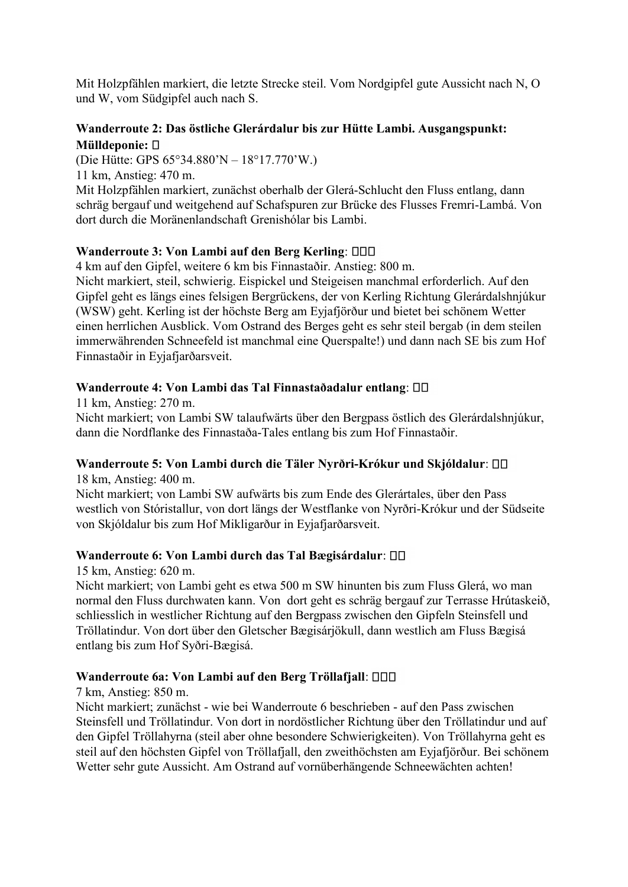Mit Holzpfählen markiert, die letzte Strecke steil. Vom Nordgipfel gute Aussicht nach N, O und W, vom Südgipfel auch nach S.

### **Wanderroute 2: Das östliche Glerárdalur bis zur Hütte Lambi. Ausgangspunkt: Mülldeponie:**

(Die Hütte: GPS 65°34.880'N – 18°17.770'W.) 11 km, Anstieg: 470 m. Mit Holzpfählen markiert, zunächst oberhalb der Glerá-Schlucht den Fluss entlang, dann schräg bergauf und weitgehend auf Schafspuren zur Brücke des Flusses Fremri-Lambá. Von dort durch die Moränenlandschaft Grenishólar bis Lambi.

### **Wanderroute 3: Von Lambi auf den Berg Kerling**:

4 km auf den Gipfel, weitere 6 km bis Finnastaðir. Anstieg: 800 m.

Nicht markiert, steil, schwierig. Eispickel und Steigeisen manchmal erforderlich. Auf den Gipfel geht es längs eines felsigen Bergrückens, der von Kerling Richtung Glerárdalshnjúkur (WSW) geht. Kerling ist der höchste Berg am Eyjafjörður und bietet bei schönem Wetter einen herrlichen Ausblick. Vom Ostrand des Berges geht es sehr steil bergab (in dem steilen immerwährenden Schneefeld ist manchmal eine Querspalte!) und dann nach SE bis zum Hof Finnastaðir in Eyjafjarðarsveit.

#### **Wanderroute 4: Von Lambi das Tal Finnastaðadalur entlang**:

11 km, Anstieg: 270 m. Nicht markiert; von Lambi SW talaufwärts über den Bergpass östlich des Glerárdalshnjúkur, dann die Nordflanke des Finnastaða-Tales entlang bis zum Hof Finnastaðir.

## **Wanderroute 5: Von Lambi durch die Täler Nyrðri-Krókur und Skjóldalur**:

18 km, Anstieg: 400 m.

Nicht markiert; von Lambi SW aufwärts bis zum Ende des Glerártales, über den Pass westlich von Stóristallur, von dort längs der Westflanke von Nyrðri-Krókur und der Südseite von Skjóldalur bis zum Hof Mikligarður in Eyjafjarðarsveit.

#### **Wanderroute 6: Von Lambi durch das Tal Bægisárdalur**:

15 km, Anstieg: 620 m.

Nicht markiert; von Lambi geht es etwa 500 m SW hinunten bis zum Fluss Glerá, wo man normal den Fluss durchwaten kann. Von dort geht es schräg bergauf zur Terrasse Hrútaskeið, schliesslich in westlicher Richtung auf den Bergpass zwischen den Gipfeln Steinsfell und Tröllatindur. Von dort über den Gletscher Bægisárjökull, dann westlich am Fluss Bægisá entlang bis zum Hof Syðri-Bægisá.

## **Wanderroute 6a: Von Lambi auf den Berg Tröllafjall**:

7 km, Anstieg: 850 m.

Nicht markiert; zunächst - wie bei Wanderroute 6 beschrieben - auf den Pass zwischen Steinsfell und Tröllatindur. Von dort in nordöstlicher Richtung über den Tröllatindur und auf den Gipfel Tröllahyrna (steil aber ohne besondere Schwierigkeiten). Von Tröllahyrna geht es steil auf den höchsten Gipfel von Tröllafjall, den zweithöchsten am Eyjafjörður. Bei schönem Wetter sehr gute Aussicht. Am Ostrand auf vornüberhängende Schneewächten achten!